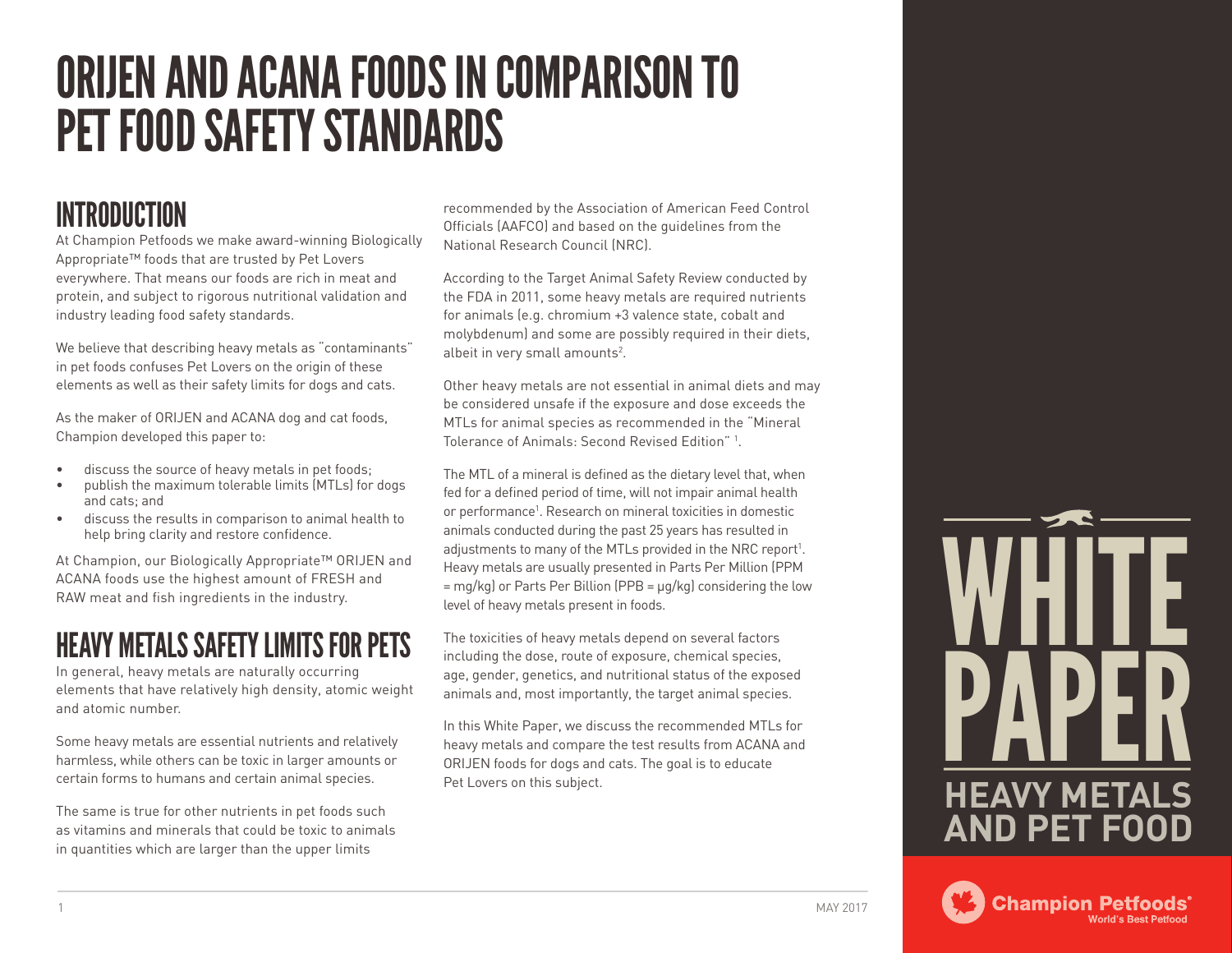# ORIJEN AND ACANA FOODS IN COMPARISON TO PET FOOD SAFETY STANDARDS

# INTRODUCTION

At Champion Petfoods we make award-winning Biologically Appropriate™ foods that are trusted by Pet Lovers everywhere. That means our foods are rich in meat and protein, and subject to rigorous nutritional validation and industry leading food safety standards.

We believe that describing heavy metals as "contaminants" in pet foods confuses Pet Lovers on the origin of these elements as well as their safety limits for dogs and cats.

As the maker of ORIJEN and ACANA dog and cat foods, Champion developed this paper to:

- discuss the source of heavy metals in pet foods;
- publish the maximum tolerable limits (MTLs) for dogs and cats; and
- discuss the results in comparison to animal health to help bring clarity and restore confidence.

At Champion, our Biologically Appropriate™ ORIJEN and ACANA foods use the highest amount of FRESH and RAW meat and fish ingredients in the industry.

## HEAVY METALS SAFETY LIMITS FOR PETS

In general, heavy metals are naturally occurring elements that have relatively high density, atomic weight and atomic number.

Some heavy metals are essential nutrients and relatively harmless, while others can be toxic in larger amounts or certain forms to humans and certain animal species.

The same is true for other nutrients in pet foods such as vitamins and minerals that could be toxic to animals in quantities which are larger than the upper limits

recommended by the Association of American Feed Control Officials (AAFCO) and based on the guidelines from the National Research Council (NRC).

According to the Target Animal Safety Review conducted by the FDA in 2011, some heavy metals are required nutrients for animals (e.g. chromium +3 valence state, cobalt and molybdenum) and some are possibly required in their diets, albeit in very small amounts<sup>2</sup>.

Other heavy metals are not essential in animal diets and may be considered unsafe if the exposure and dose exceeds the MTLs for animal species as recommended in the "Mineral Tolerance of Animals: Second Revised Edition" 1 .

The MTL of a mineral is defined as the dietary level that, when fed for a defined period of time, will not impair animal health or performance<sup>1</sup>. Research on mineral toxicities in domestic animals conducted during the past 25 years has resulted in adjustments to many of the MTLs provided in the NRC report<sup>1</sup>. Heavy metals are usually presented in Parts Per Million (PPM  $=$  mg/kg) or Parts Per Billion (PPB  $= \mu q/kg$ ) considering the low level of heavy metals present in foods.

The toxicities of heavy metals depend on several factors including the dose, route of exposure, chemical species, age, gender, genetics, and nutritional status of the exposed animals and, most importantly, the target animal species.

In this White Paper, we discuss the recommended MTLs for heavy metals and compare the test results from ACANA and ORIJEN foods for dogs and cats. The goal is to educate Pet Lovers on this subject.

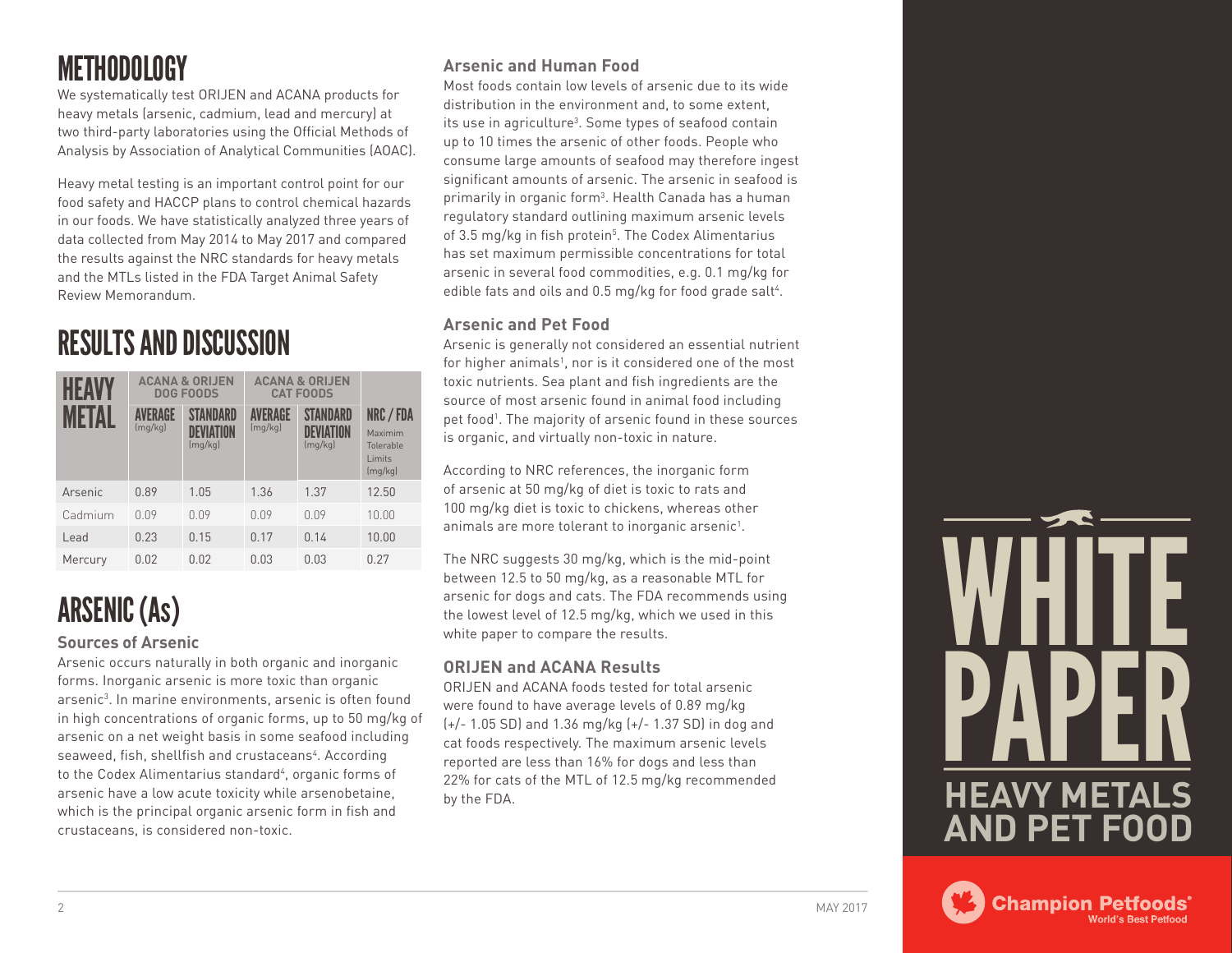## METHODOLOGY

We systematically test ORIJEN and ACANA products for heavy metals (arsenic, cadmium, lead and mercury) at two third-party laboratories using the Official Methods of Analysis by Association of Analytical Communities (AOAC).

Heavy metal testing is an important control point for our food safety and HACCP plans to control chemical hazards in our foods. We have statistically analyzed three years of data collected from May 2014 to May 2017 and compared the results against the NRC standards for heavy metals and the MTLs listed in the FDA Target Animal Safety Review Memorandum.

# RESULTS AND DISCUSSION

| HEAV<br>MFTAI | <b>ACANA &amp; ORIJEN</b><br><b>DOG FOODS</b> |                                         | <b>ACANA &amp; ORIJEN</b><br><b>CAT FOODS</b> |                                         |                                                        |
|---------------|-----------------------------------------------|-----------------------------------------|-----------------------------------------------|-----------------------------------------|--------------------------------------------------------|
|               | <b>AVERAGE</b><br>(mq/kg)                     | STANDARD<br><b>DEVIATION</b><br>(mq/kg) | <b>/FRAGE</b><br>(mq/kg)                      | <b>STANDARD</b><br>DFVIATION<br>(mq/kg) | NRC / FDA<br>Maximim<br>Tolerable<br>Limits<br>(mq/kg) |
| Arsenic       | 0.89                                          | 1.05                                    | 1.36                                          | 1.37                                    | 12.50                                                  |
| Cadmium       | 0.09                                          | 0.09                                    | 0.09                                          | 0.09                                    | 10.00                                                  |
| Lead          | 0.23                                          | 0.15                                    | 0.17                                          | 0.14                                    | 10.00                                                  |
| Mercury       | 0.02                                          | 0.02                                    | 0.03                                          | 0.03                                    | 0.27                                                   |

# ARSENIC (As)

#### **Sources of Arsenic**

Arsenic occurs naturally in both organic and inorganic forms. Inorganic arsenic is more toxic than organic arsenic<sup>3</sup>. In marine environments, arsenic is often found in high concentrations of organic forms, up to 50 mg/kg of arsenic on a net weight basis in some seafood including seaweed, fish, shellfish and crustaceans<sup>4</sup>. According to the Codex Alimentarius standard<sup>4</sup>, organic forms of arsenic have a low acute toxicity while arsenobetaine, which is the principal organic arsenic form in fish and crustaceans, is considered non-toxic.

#### **Arsenic and Human Food**

Most foods contain low levels of arsenic due to its wide distribution in the environment and, to some extent, its use in agriculture<sup>3</sup>. Some types of seafood contain up to 10 times the arsenic of other foods. People who consume large amounts of seafood may therefore ingest significant amounts of arsenic. The arsenic in seafood is primarily in organic form<sup>3</sup>. Health Canada has a human regulatory standard outlining maximum arsenic levels of 3.5 mg/kg in fish protein<sup>5</sup>. The Codex Alimentarius has set maximum permissible concentrations for total arsenic in several food commodities, e.g. 0.1 mg/kg for edible fats and oils and 0.5 mg/kg for food grade salt<sup>4</sup>.

#### **Arsenic and Pet Food**

Arsenic is generally not considered an essential nutrient for higher animals<sup>1</sup>, nor is it considered one of the most toxic nutrients. Sea plant and fish ingredients are the source of most arsenic found in animal food including pet food<sup>1</sup>. The majority of arsenic found in these sources is organic, and virtually non-toxic in nature.

According to NRC references, the inorganic form of arsenic at 50 mg/kg of diet is toxic to rats and 100 mg/kg diet is toxic to chickens, whereas other animals are more tolerant to inorganic arsenic<sup>1</sup>.

The NRC suggests 30 mg/kg, which is the mid-point between 12.5 to 50 mg/kg, as a reasonable MTL for arsenic for dogs and cats. The FDA recommends using the lowest level of 12.5 mg/kg, which we used in this white paper to compare the results.

#### **ORIJEN and ACANA Results**

ORIJEN and ACANA foods tested for total arsenic were found to have average levels of 0.89 mg/kg (+/- 1.05 SD) and 1.36 mg/kg (+/- 1.37 SD) in dog and cat foods respectively. The maximum arsenic levels reported are less than 16% for dogs and less than 22% for cats of the MTL of 12.5 mg/kg recommended by the FDA.

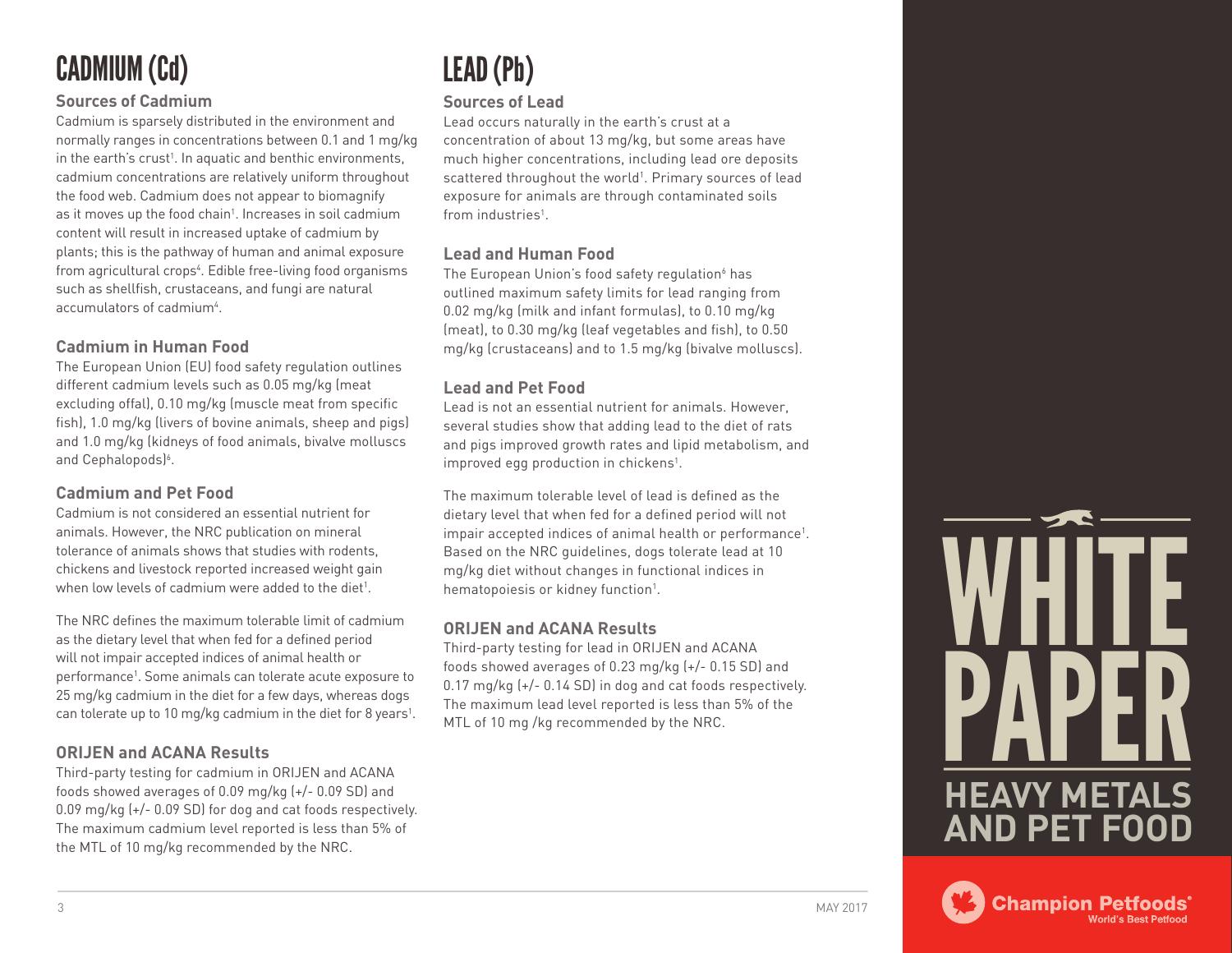# CADMIUM (Cd)

#### **Sources of Cadmium**

Cadmium is sparsely distributed in the environment and normally ranges in concentrations between 0.1 and 1 mg/kg in the earth's crust<sup>1</sup>. In aquatic and benthic environments, cadmium concentrations are relatively uniform throughout the food web. Cadmium does not appear to biomagnify as it moves up the food chain<sup>1</sup>. Increases in soil cadmium content will result in increased uptake of cadmium by plants; this is the pathway of human and animal exposure from agricultural crops<sup>4</sup>. Edible free-living food organisms such as shellfish, crustaceans, and fungi are natural accumulators of cadmium<sup>4</sup>.

#### **Cadmium in Human Food**

The European Union (EU) food safety regulation outlines different cadmium levels such as 0.05 mg/kg (meat excluding offal), 0.10 mg/kg (muscle meat from specific fish), 1.0 mg/kg (livers of bovine animals, sheep and pigs) and 1.0 mg/kg (kidneys of food animals, bivalve molluscs and Cephalopods)<sup>6</sup>.

#### **Cadmium and Pet Food**

Cadmium is not considered an essential nutrient for animals. However, the NRC publication on mineral tolerance of animals shows that studies with rodents, chickens and livestock reported increased weight gain when low levels of cadmium were added to the diet<sup>1</sup>.

The NRC defines the maximum tolerable limit of cadmium as the dietary level that when fed for a defined period will not impair accepted indices of animal health or performance<sup>1</sup>. Some animals can tolerate acute exposure to 25 mg/kg cadmium in the diet for a few days, whereas dogs can tolerate up to 10 mg/kg cadmium in the diet for 8 years<sup>1</sup>.

#### **ORIJEN and ACANA Results**

Third-party testing for cadmium in ORIJEN and ACANA foods showed averages of 0.09 mg/kg (+/- 0.09 SD) and 0.09 mg/kg (+/- 0.09 SD) for dog and cat foods respectively. The maximum cadmium level reported is less than 5% of the MTL of 10 mg/kg recommended by the NRC.

# LEAD (Pb)

#### **Sources of Lead**

Lead occurs naturally in the earth's crust at a concentration of about 13 mg/kg, but some areas have much higher concentrations, including lead ore deposits scattered throughout the world<sup>1</sup>. Primary sources of lead exposure for animals are through contaminated soils from industries<sup>1</sup>.

#### **Lead and Human Food**

The European Union's food safety regulation<sup>6</sup> has outlined maximum safety limits for lead ranging from 0.02 mg/kg (milk and infant formulas), to 0.10 mg/kg (meat), to 0.30 mg/kg (leaf vegetables and fish), to 0.50 mg/kg (crustaceans) and to 1.5 mg/kg (bivalve molluscs).

#### **Lead and Pet Food**

Lead is not an essential nutrient for animals. However, several studies show that adding lead to the diet of rats and pigs improved growth rates and lipid metabolism, and improved egg production in chickens<sup>1</sup>.

The maximum tolerable level of lead is defined as the dietary level that when fed for a defined period will not impair accepted indices of animal health or performance<sup>1</sup>. Based on the NRC guidelines, dogs tolerate lead at 10 mg/kg diet without changes in functional indices in hematopoiesis or kidney function<sup>1</sup>.

#### **ORIJEN and ACANA Results**

Third-party testing for lead in ORIJEN and ACANA foods showed averages of 0.23 mg/kg (+/- 0.15 SD) and 0.17 mg/kg (+/- 0.14 SD) in dog and cat foods respectively. The maximum lead level reported is less than 5% of the MTL of 10 mg /kg recommended by the NRC.